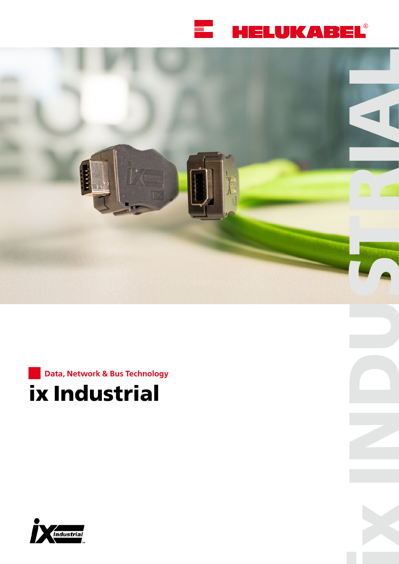





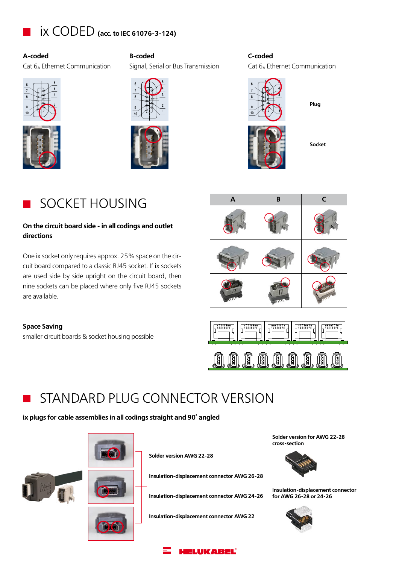

**A-coded B-coded C-coded** Cat  $6_A$  Ethernet Communication Signal, Serial or Bus Transmission Cat  $6_A$  Ethernet Communication





SOCKET HOUSING

## **On the circuit board side - in all codings and outlet directions**

One ix socket only requires approx. 25% space on the circuit board compared to a classic RJ45 socket. If ix sockets are used side by side upright on the circuit board, then nine sockets can be placed where only five RJ45 sockets are available.

**Space Saving**

smaller circuit boards & socket housing possible



**Plug**

**Socket**





# STANDARD PLUG CONNECTOR VERSION

**ix plugs for cable assemblies in all codings straight and 90° angled**



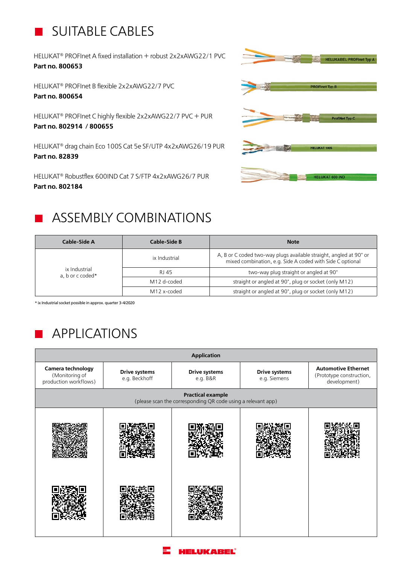# SUITABLE CABLES

HELUKAT® PROFInet A fixed installation + robust 2x2xAWG22/1 PVC **Part no. 800653** 

HELUKAT® PROFInet B flexible 2x2xAWG22/7 PVC **Part no. 800654** 

HELUKAT® PROFInet C highly flexible 2x2xAWG22/7 PVC + PUR **Part no. 802914 / 800655**

HELUKAT® drag chain Eco 100S Cat 5e SF/UTP 4x2xAWG26/19 PUR **Part no. 82839**

HELUKAT® Robustflex 600IND Cat 7 S/FTP 4x2xAWG26/7 PUR **Part no. 802184** 



# ASSEMBLY COMBINATIONS

| Cable-Side A                      | Cable-Side B  | <b>Note</b>                                                                                                                     |  |
|-----------------------------------|---------------|---------------------------------------------------------------------------------------------------------------------------------|--|
| ix Industrial<br>a, b or c coded* | ix Industrial | A, B or C coded two-way plugs available straight, angled at 90° or<br>mixed combination, e.g. Side A coded with Side C optional |  |
|                                   | RJ 45         | two-way plug straight or angled at 90°                                                                                          |  |
|                                   | M12 d-coded   | straight or angled at 90°, plug or socket (only M12)                                                                            |  |
|                                   | M12 x-coded   | straight or angled at 90°, plug or socket (only M12)                                                                            |  |

\* ix Industrial socket possible in approx. quarter 3-4/2020

# APPLICATIONS

| <b>Application</b>                                                                       |                                       |                                  |                                      |                                                                        |  |
|------------------------------------------------------------------------------------------|---------------------------------------|----------------------------------|--------------------------------------|------------------------------------------------------------------------|--|
| Camera technology<br>(Monitoring of<br>production workflows)                             | <b>Drive systems</b><br>e.g. Beckhoff | <b>Drive systems</b><br>e.g. B&R | <b>Drive systems</b><br>e.g. Siemens | <b>Automotive Ethernet</b><br>(Prototype construction,<br>development) |  |
| <b>Practical example</b><br>(please scan the corresponding QR code using a relevant app) |                                       |                                  |                                      |                                                                        |  |
|                                                                                          |                                       |                                  |                                      |                                                                        |  |
|                                                                                          |                                       |                                  |                                      |                                                                        |  |

## **HELUKABEL®**